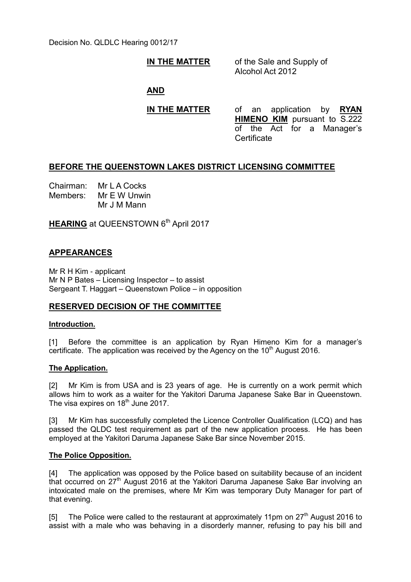Decision No. QLDLC Hearing 0012/17

### **IN THE MATTER** of the Sale and Supply of

Alcohol Act 2012

**AND**

**IN THE MATTER** of an application by **RYAN HIMENO KIM** pursuant to S.222 of the Act for a Manager's Certificate

# **BEFORE THE QUEENSTOWN LAKES DISTRICT LICENSING COMMITTEE**

Chairman: Mr L A Cocks Members: Mr E W Unwin Mr J M Mann

**HEARING** at QUEENSTOWN 6<sup>th</sup> April 2017

## **APPEARANCES**

Mr R H Kim - applicant Mr N P Bates – Licensing Inspector – to assist Sergeant T. Haggart – Queenstown Police – in opposition

### **RESERVED DECISION OF THE COMMITTEE**

#### **Introduction.**

[1] Before the committee is an application by Ryan Himeno Kim for a manager's certificate. The application was received by the Agency on the  $10<sup>th</sup>$  August 2016.

### **The Application.**

[2] Mr Kim is from USA and is 23 years of age. He is currently on a work permit which allows him to work as a waiter for the Yakitori Daruma Japanese Sake Bar in Queenstown. The visa expires on 18<sup>th</sup> June 2017.

[3] Mr Kim has successfully completed the Licence Controller Qualification (LCQ) and has passed the QLDC test requirement as part of the new application process. He has been employed at the Yakitori Daruma Japanese Sake Bar since November 2015.

#### **The Police Opposition.**

[4] The application was opposed by the Police based on suitability because of an incident that occurred on 27<sup>th</sup> August 2016 at the Yakitori Daruma Japanese Sake Bar involving an intoxicated male on the premises, where Mr Kim was temporary Duty Manager for part of that evening.

[5] The Police were called to the restaurant at approximately 11pm on  $27<sup>th</sup>$  August 2016 to assist with a male who was behaving in a disorderly manner, refusing to pay his bill and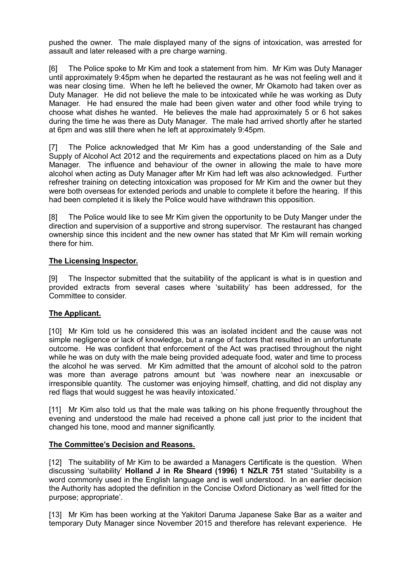pushed the owner. The male displayed many of the signs of intoxication, was arrested for assault and later released with a pre charge warning.

[6] The Police spoke to Mr Kim and took a statement from him. Mr Kim was Duty Manager until approximately 9:45pm when he departed the restaurant as he was not feeling well and it was near closing time. When he left he believed the owner, Mr Okamoto had taken over as Duty Manager. He did not believe the male to be intoxicated while he was working as Duty Manager. He had ensured the male had been given water and other food while trying to choose what dishes he wanted. He believes the male had approximately 5 or 6 hot sakes during the time he was there as Duty Manager. The male had arrived shortly after he started at 6pm and was still there when he left at approximately 9:45pm.

[7] The Police acknowledged that Mr Kim has a good understanding of the Sale and Supply of Alcohol Act 2012 and the requirements and expectations placed on him as a Duty Manager. The influence and behaviour of the owner in allowing the male to have more alcohol when acting as Duty Manager after Mr Kim had left was also acknowledged. Further refresher training on detecting intoxication was proposed for Mr Kim and the owner but they were both overseas for extended periods and unable to complete it before the hearing. If this had been completed it is likely the Police would have withdrawn this opposition.

[8] The Police would like to see Mr Kim given the opportunity to be Duty Manger under the direction and supervision of a supportive and strong supervisor. The restaurant has changed ownership since this incident and the new owner has stated that Mr Kim will remain working there for him.

### **The Licensing Inspector.**

[9] The Inspector submitted that the suitability of the applicant is what is in question and provided extracts from several cases where 'suitability' has been addressed, for the Committee to consider.

## **The Applicant.**

[10] Mr Kim told us he considered this was an isolated incident and the cause was not simple negligence or lack of knowledge, but a range of factors that resulted in an unfortunate outcome. He was confident that enforcement of the Act was practised throughout the night while he was on duty with the male being provided adequate food, water and time to process the alcohol he was served. Mr Kim admitted that the amount of alcohol sold to the patron was more than average patrons amount but 'was nowhere near an inexcusable or irresponsible quantity. The customer was enjoying himself, chatting, and did not display any red flags that would suggest he was heavily intoxicated.'

[11] Mr Kim also told us that the male was talking on his phone frequently throughout the evening and understood the male had received a phone call just prior to the incident that changed his tone, mood and manner significantly.

### **The Committee's Decision and Reasons.**

[12] The suitability of Mr Kim to be awarded a Managers Certificate is the question. When discussing 'suitability' **Holland J in Re Sheard (1996) 1 NZLR 751** stated "Suitability is a word commonly used in the English language and is well understood. In an earlier decision the Authority has adopted the definition in the Concise Oxford Dictionary as 'well fitted for the purpose; appropriate'.

[13] Mr Kim has been working at the Yakitori Daruma Japanese Sake Bar as a waiter and temporary Duty Manager since November 2015 and therefore has relevant experience. He